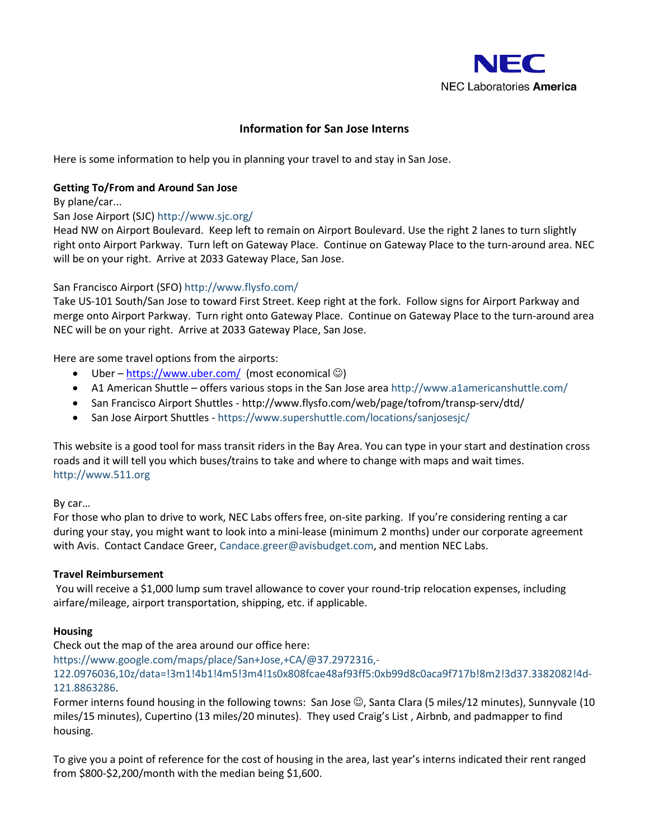

# **Information for San Jose Interns**

Here is some information to help you in planning your travel to and stay in San Jose.

# **Getting To/From and Around San Jose**

By plane/car...

### San Jose Airport (SJC[\) http://www.sjc.org/](http://www.sjc.org/)

Head NW on Airport Boulevard. Keep left to remain on Airport Boulevard. Use the right 2 lanes to turn slightly right onto Airport Parkway. Turn left on Gateway Place. Continue on Gateway Place to the turn-around area. NEC will be on your right. Arrive at 2033 Gateway Place, San Jose.

### San Francisco Airport (SFO)<http://www.flysfo.com/>

Take US-101 South/San Jose to toward First Street. Keep right at the fork. Follow signs for Airport Parkway and merge onto Airport Parkway. Turn right onto Gateway Place. Continue on Gateway Place to the turn-around area NEC will be on your right. Arrive at 2033 Gateway Place, San Jose.

Here are some travel options from the airports:

- Uber <https://www.uber.com/> (most economical  $\circledcirc$ )
- A1 American Shuttle offers various stops in the San Jose area<http://www.a1americanshuttle.com/>
- San Francisco Airport Shuttles <http://www.flysfo.com/web/page/tofrom/transp-serv/dtd/>
- San Jose Airport Shuttles <https://www.supershuttle.com/locations/sanjosesjc/>

This website is a good tool for mass transit riders in the Bay Area. You can type in your start and destination cross roads and it will tell you which buses/trains to take and where to change with maps and wait times. [http://www.511.org](http://www.511.org/)

#### By car…

For those who plan to drive to work, NEC Labs offers free, on-site parking. If you're considering renting a car during your stay, you might want to look into a mini-lease (minimum 2 months) under our corporate agreement with Avis. Contact Candace Greer, [Candace.greer@avisbudget.com,](mailto:Candace.greer@avisbudget.com) and mention NEC Labs.

#### **Travel Reimbursement**

You will receive a \$1,000 lump sum travel allowance to cover your round-trip relocation expenses, including airfare/mileage, airport transportation, shipping, etc. if applicable.

#### **Housing**

#### Check out the map of the area around our office here:

[https://www.google.com/maps/place/San+Jose,+CA/@37.2972316,-](https://www.google.com/maps/place/San+Jose,+CA/@37.2972316,-122.0976036,10z/data=!3m1!4b1!4m5!3m4!1s0x808fcae48af93ff5:0xb99d8c0aca9f717b!8m2!3d37.3382082!4d-121.8863286)

[122.0976036,10z/data=!3m1!4b1!4m5!3m4!1s0x808fcae48af93ff5:0xb99d8c0aca9f717b!8m2!3d37.3382082!4d-](https://www.google.com/maps/place/San+Jose,+CA/@37.2972316,-122.0976036,10z/data=!3m1!4b1!4m5!3m4!1s0x808fcae48af93ff5:0xb99d8c0aca9f717b!8m2!3d37.3382082!4d-121.8863286)[121.8863286.](https://www.google.com/maps/place/San+Jose,+CA/@37.2972316,-122.0976036,10z/data=!3m1!4b1!4m5!3m4!1s0x808fcae48af93ff5:0xb99d8c0aca9f717b!8m2!3d37.3382082!4d-121.8863286)

Former interns found housing in the following towns: San Jose  $\mathbb{G}$ , Santa Clara (5 miles/12 minutes), Sunnyvale (10 miles/15 minutes), Cupertino (13 miles/20 minutes). They used Craig's List , Airbnb, and padmapper to find housing.

To give you a point of reference for the cost of housing in the area, last year's interns indicated their rent ranged from \$800-\$2,200/month with the median being \$1,600.